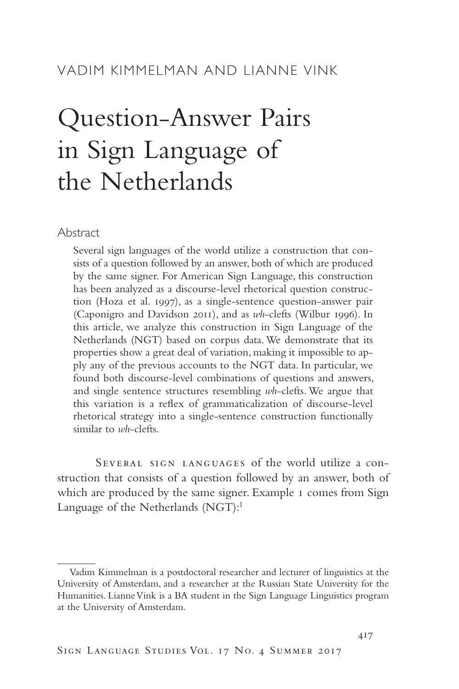# VADIM KIMMELMAN AND LIANNE VINK

# Question-Answer Pairs in Sign Language of the Netherlands

Abstract

Several sign languages of the world utilize a construction that consists of a question followed by an answer, both of which are produced by the same signer. For American Sign Language, this construction has been analyzed as a discourse-level rhetorical question construction (Hoza et al. 1997), as a single-sentence question-answer pair (Caponigro and Davidson 2011), and as *wh*-clefts (Wilbur 1996). In this article, we analyze this construction in Sign Language of the Netherlands (NGT) based on corpus data. We demonstrate that its properties show a great deal of variation, making it impossible to apply any of the previous accounts to the NGT data. In particular, we found both discourse-level combinations of questions and answers, and single sentence structures resembling *wh*-clefts. We argue that this variation is a reflex of grammaticalization of discourse-level rhetorical strategy into a single-sentence construction functionally similar to *wh*-clefts.

Several sign languages of the world utilize a construction that consists of a question followed by an answer, both of which are produced by the same signer. Example 1 comes from Sign Language of the Netherlands  $(NGT)!$ <sup>1</sup>

Vadim Kimmelman is a postdoctoral researcher and lecturer of linguistics at the University of Amsterdam, and a researcher at the Russian State University for the Humanities. Lianne Vink is a BA student in the Sign Language Linguistics program at the University of Amsterdam.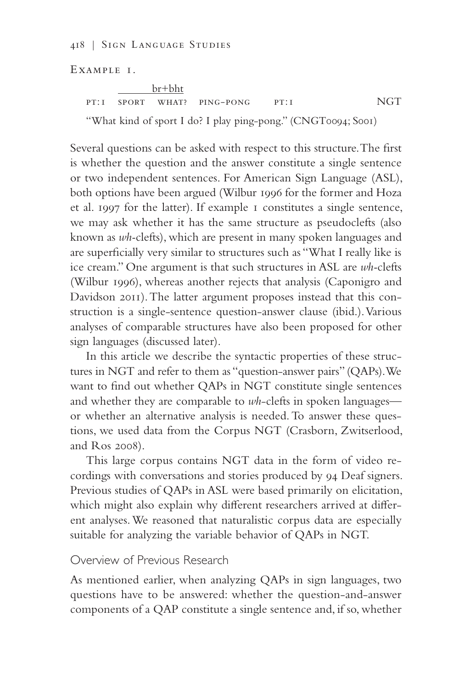418 | Sign Language Studies

Example 1.

 br+bht pt:1 sport what? ping-pong pt:1 NGT "What kind of sport I do? I play ping-pong." (CNGT0094; S001)

Several questions can be asked with respect to this structure. The first is whether the question and the answer constitute a single sentence or two independent sentences. For American Sign Language (ASL), both options have been argued (Wilbur 1996 for the former and Hoza et al. 1997 for the latter). If example 1 constitutes a single sentence, we may ask whether it has the same structure as pseudoclefts (also known as *wh-*clefts), which are present in many spoken languages and are superficially very similar to structures such as "What I really like is ice cream." One argument is that such structures in ASL are *wh-*clefts (Wilbur 1996), whereas another rejects that analysis (Caponigro and Davidson 2011). The latter argument proposes instead that this construction is a single-sentence question-answer clause (ibid.). Various analyses of comparable structures have also been proposed for other sign languages (discussed later).

In this article we describe the syntactic properties of these structures in NGT and refer to them as "question-answer pairs" (QAPs). We want to find out whether QAPs in NGT constitute single sentences and whether they are comparable to *wh*-clefts in spoken languages or whether an alternative analysis is needed. To answer these questions, we used data from the Corpus NGT (Crasborn, Zwitserlood, and Ros 2008).

This large corpus contains NGT data in the form of video recordings with conversations and stories produced by 94 Deaf signers. Previous studies of QAPs in ASL were based primarily on elicitation, which might also explain why different researchers arrived at different analyses. We reasoned that naturalistic corpus data are especially suitable for analyzing the variable behavior of QAPs in NGT.

## Overview of Previous Research

As mentioned earlier, when analyzing QAPs in sign languages, two questions have to be answered: whether the question-and-answer components of a QAP constitute a single sentence and, if so, whether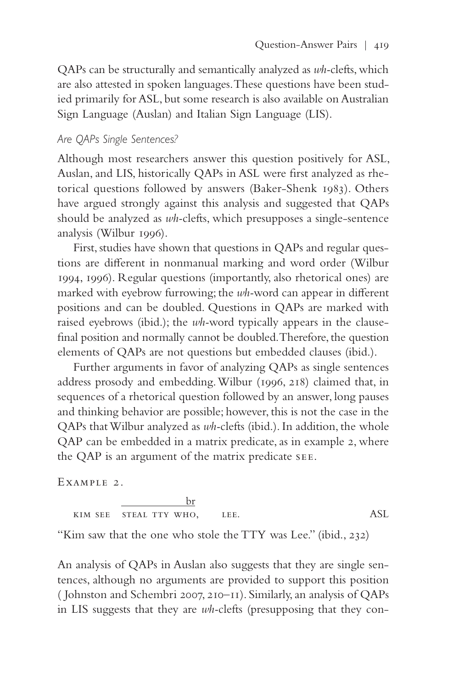QAPs can be structurally and semantically analyzed as *wh-*clefts, which are also attested in spoken languages. These questions have been studied primarily for ASL, but some research is also available on Australian Sign Language (Auslan) and Italian Sign Language (LIS).

## *Are QAPs Single Sentences?*

Although most researchers answer this question positively for ASL, Auslan, and LIS, historically QAPs in ASL were first analyzed as rhetorical questions followed by answers (Baker-Shenk 1983). Others have argued strongly against this analysis and suggested that QAPs should be analyzed as *wh-*clefts, which presupposes a single-sentence analysis (Wilbur 1996).

First, studies have shown that questions in QAPs and regular questions are different in nonmanual marking and word order (Wilbur 1994, 1996). Regular questions (importantly, also rhetorical ones) are marked with eyebrow furrowing; the *wh-*word can appear in different positions and can be doubled. Questions in QAPs are marked with raised eyebrows (ibid.); the *wh-*word typically appears in the clausefinal position and normally cannot be doubled. Therefore, the question elements of QAPs are not questions but embedded clauses (ibid.).

Further arguments in favor of analyzing QAPs as single sentences address prosody and embedding. Wilbur (1996, 218) claimed that, in sequences of a rhetorical question followed by an answer, long pauses and thinking behavior are possible; however, this is not the case in the QAPs that Wilbur analyzed as *wh-*clefts (ibid.). In addition, the whole QAP can be embedded in a matrix predicate, as in example 2, where the QAP is an argument of the matrix predicate see.

Example 2.

$$
\frac{b r}{\text{sim see}} \frac{b r}{\text{stail try who}}, \qquad \text{lee.} \qquad \qquad \text{ASL}
$$

"Kim saw that the one who stole the TTY was Lee." (ibid., 232)

An analysis of QAPs in Auslan also suggests that they are single sentences, although no arguments are provided to support this position ( Johnston and Schembri 2007, 210–11). Similarly, an analysis of QAPs in LIS suggests that they are *wh-*clefts (presupposing that they con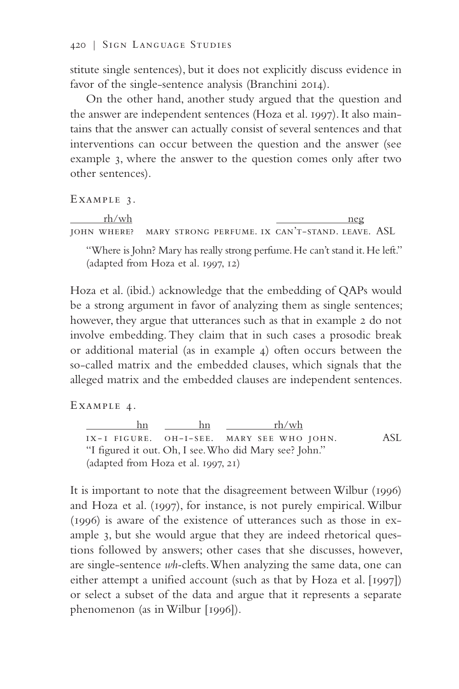stitute single sentences), but it does not explicitly discuss evidence in favor of the single-sentence analysis (Branchini 2014).

On the other hand, another study argued that the question and the answer are independent sentences (Hoza et al. 1997). It also maintains that the answer can actually consist of several sentences and that interventions can occur between the question and the answer (see example 3, where the answer to the question comes only after two other sentences).

Example 3.

 $rh/wh$  neg john where? mary strong perfume. ix can't-stand. leave. ASL

"Where is John? Mary has really strong perfume. He can't stand it. He left." (adapted from Hoza et al. 1997, 12)

Hoza et al. (ibid.) acknowledge that the embedding of QAPs would be a strong argument in favor of analyzing them as single sentences; however, they argue that utterances such as that in example 2 do not involve embedding. They claim that in such cases a prosodic break or additional material (as in example 4) often occurs between the so-called matrix and the embedded clauses, which signals that the alleged matrix and the embedded clauses are independent sentences.

Example 4.

 hn hn rh/wh ix-1 figure. oh-i-see. mary see who john. ASL "I figured it out. Oh, I see. Who did Mary see? John." (adapted from Hoza et al. 1997, 21)

It is important to note that the disagreement between Wilbur (1996) and Hoza et al. (1997), for instance, is not purely empirical. Wilbur (1996) is aware of the existence of utterances such as those in example 3, but she would argue that they are indeed rhetorical questions followed by answers; other cases that she discusses, however, are single-sentence *wh-*clefts. When analyzing the same data, one can either attempt a unified account (such as that by Hoza et al. [1997]) or select a subset of the data and argue that it represents a separate phenomenon (as in Wilbur [1996]).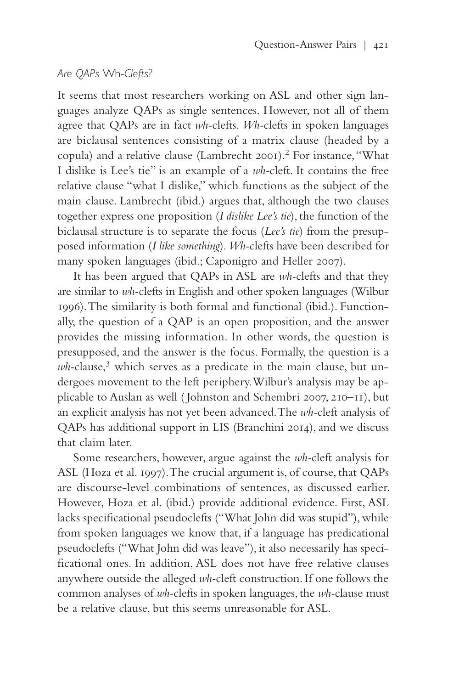## *Are QAPs* Wh-*Clefts?*

It seems that most researchers working on ASL and other sign languages analyze QAPs as single sentences. However, not all of them agree that QAPs are in fact *wh-*clefts. *Wh-*clefts in spoken languages are biclausal sentences consisting of a matrix clause (headed by a copula) and a relative clause (Lambrecht 2001).<sup>2</sup> For instance, "What I dislike is Lee's tie" is an example of a *wh-*cleft. It contains the free relative clause "what I dislike," which functions as the subject of the main clause. Lambrecht (ibid.) argues that, although the two clauses together express one proposition (*I dislike Lee's tie*), the function of the biclausal structure is to separate the focus (*Lee's tie*) from the presupposed information (*I like something*). *Wh-*clefts have been described for many spoken languages (ibid.; Caponigro and Heller 2007).

It has been argued that QAPs in ASL are *wh-*clefts and that they are similar to *wh-*clefts in English and other spoken languages (Wilbur 1996). The similarity is both formal and functional (ibid.). Functionally, the question of a QAP is an open proposition, and the answer provides the missing information. In other words, the question is presupposed, and the answer is the focus. Formally, the question is a wh-clause,<sup>3</sup> which serves as a predicate in the main clause, but undergoes movement to the left periphery. Wilbur's analysis may be applicable to Auslan as well ( Johnston and Schembri 2007, 210–11), but an explicit analysis has not yet been advanced. The *wh-*cleft analysis of QAPs has additional support in LIS (Branchini 2014), and we discuss that claim later.

Some researchers, however, argue against the *wh-*cleft analysis for ASL (Hoza et al. 1997). The crucial argument is, of course, that QAPs are discourse-level combinations of sentences, as discussed earlier. However, Hoza et al. (ibid.) provide additional evidence. First, ASL lacks specificational pseudoclefts ("What John did was stupid"), while from spoken languages we know that, if a language has predicational pseudoclefts ("What John did was leave"), it also necessarily has specificational ones. In addition, ASL does not have free relative clauses anywhere outside the alleged *wh-*cleft construction. If one follows the common analyses of *wh-*clefts in spoken languages, the *wh-*clause must be a relative clause, but this seems unreasonable for ASL.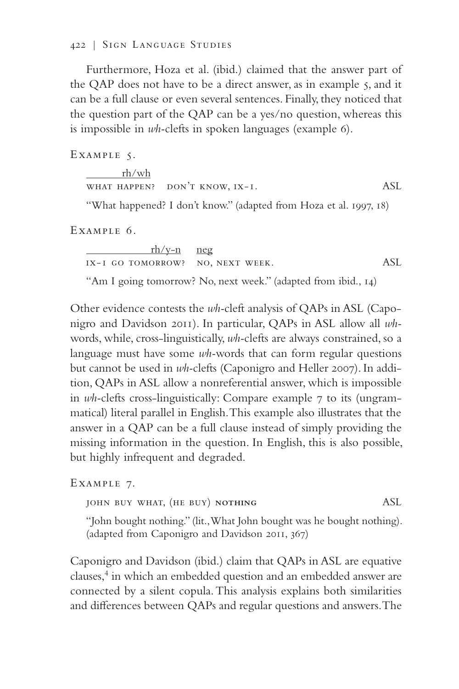#### 422 | Sign Language Studies

Furthermore, Hoza et al. (ibid.) claimed that the answer part of the QAP does not have to be a direct answer, as in example 5, and it can be a full clause or even several sentences. Finally, they noticed that the question part of the QAP can be a yes/no question, whereas this is impossible in *wh-*clefts in spoken languages (example 6).

EXAMPLE 5.

| rh/wh |                                |     |
|-------|--------------------------------|-----|
|       | WHAT HAPPEN? DON'T KNOW, IX-I. | ASL |

"What happened? I don't know." (adapted from Hoza et al. 1997, 18)

Example 6.

 rh/y-n neg ix-1 go tomorrow? no, next week. ASL

"Am I going tomorrow? No, next week." (adapted from ibid., 14)

Other evidence contests the *wh-*cleft analysis of QAPs in ASL (Caponigro and Davidson 2011). In particular, QAPs in ASL allow all *wh*words, while, cross-linguistically, *wh-*clefts are always constrained, so a language must have some *wh-*words that can form regular questions but cannot be used in *wh-*clefts (Caponigro and Heller 2007). In addition, QAPs in ASL allow a nonreferential answer, which is impossible in *wh-*clefts cross-linguistically: Compare example 7 to its (ungrammatical) literal parallel in English. This example also illustrates that the answer in a QAP can be a full clause instead of simply providing the missing information in the question. In English, this is also possible, but highly infrequent and degraded.

Example 7.

john buy what, (he buy) **nothing** ASL

"John bought nothing." (lit., What John bought was he bought nothing). (adapted from Caponigro and Davidson 2011, 367)

Caponigro and Davidson (ibid.) claim that QAPs in ASL are equative clauses,<sup>4</sup> in which an embedded question and an embedded answer are connected by a silent copula. This analysis explains both similarities and differences between QAPs and regular questions and answers. The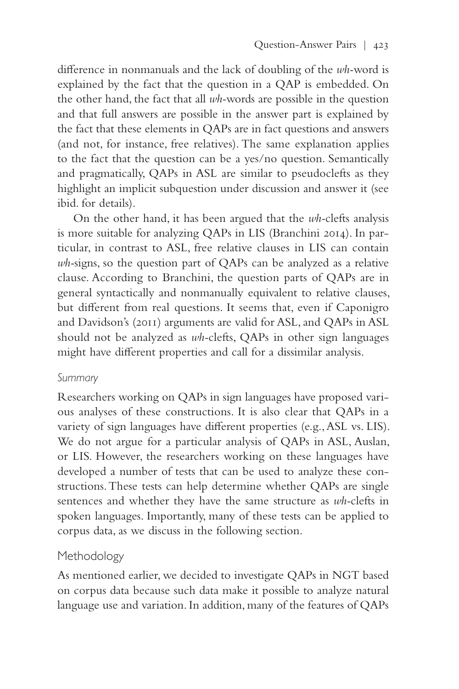difference in nonmanuals and the lack of doubling of the *wh-*word is explained by the fact that the question in a QAP is embedded. On the other hand, the fact that all *wh-*words are possible in the question and that full answers are possible in the answer part is explained by the fact that these elements in QAPs are in fact questions and answers (and not, for instance, free relatives). The same explanation applies to the fact that the question can be a yes/no question. Semantically and pragmatically, QAPs in ASL are similar to pseudoclefts as they highlight an implicit subquestion under discussion and answer it (see ibid. for details).

On the other hand, it has been argued that the *wh-*clefts analysis is more suitable for analyzing QAPs in LIS (Branchini 2014). In particular, in contrast to ASL, free relative clauses in LIS can contain *wh-*signs, so the question part of QAPs can be analyzed as a relative clause. According to Branchini, the question parts of QAPs are in general syntactically and nonmanually equivalent to relative clauses, but different from real questions. It seems that, even if Caponigro and Davidson's (2011) arguments are valid for ASL, and QAPs in ASL should not be analyzed as *wh-*clefts, QAPs in other sign languages might have different properties and call for a dissimilar analysis.

## *Summary*

Researchers working on QAPs in sign languages have proposed various analyses of these constructions. It is also clear that QAPs in a variety of sign languages have different properties (e.g., ASL vs. LIS). We do not argue for a particular analysis of QAPs in ASL, Auslan, or LIS. However, the researchers working on these languages have developed a number of tests that can be used to analyze these constructions. These tests can help determine whether QAPs are single sentences and whether they have the same structure as *wh-*clefts in spoken languages. Importantly, many of these tests can be applied to corpus data, as we discuss in the following section.

# Methodology

As mentioned earlier, we decided to investigate QAPs in NGT based on corpus data because such data make it possible to analyze natural language use and variation. In addition, many of the features of QAPs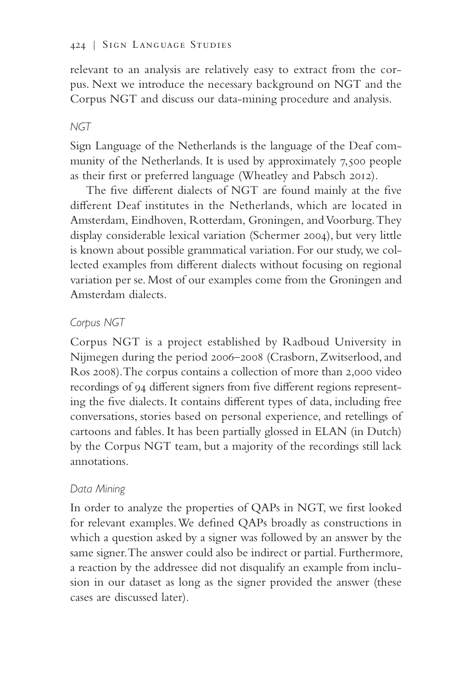relevant to an analysis are relatively easy to extract from the corpus. Next we introduce the necessary background on NGT and the Corpus NGT and discuss our data-mining procedure and analysis.

# *NGT*

Sign Language of the Netherlands is the language of the Deaf community of the Netherlands. It is used by approximately 7,500 people as their first or preferred language (Wheatley and Pabsch 2012).

The five different dialects of NGT are found mainly at the five different Deaf institutes in the Netherlands, which are located in Amsterdam, Eindhoven, Rotterdam, Groningen, and Voorburg. They display considerable lexical variation (Schermer 2004), but very little is known about possible grammatical variation. For our study, we collected examples from different dialects without focusing on regional variation per se. Most of our examples come from the Groningen and Amsterdam dialects.

# *Corpus NGT*

Corpus NGT is a project established by Radboud University in Nijmegen during the period 2006–2008 (Crasborn, Zwitserlood, and Ros 2008). The corpus contains a collection of more than 2,000 video recordings of 94 different signers from five different regions representing the five dialects. It contains different types of data, including free conversations, stories based on personal experience, and retellings of cartoons and fables. It has been partially glossed in ELAN (in Dutch) by the Corpus NGT team, but a majority of the recordings still lack annotations.

# *Data Mining*

In order to analyze the properties of QAPs in NGT, we first looked for relevant examples. We defined QAPs broadly as constructions in which a question asked by a signer was followed by an answer by the same signer. The answer could also be indirect or partial. Furthermore, a reaction by the addressee did not disqualify an example from inclusion in our dataset as long as the signer provided the answer (these cases are discussed later).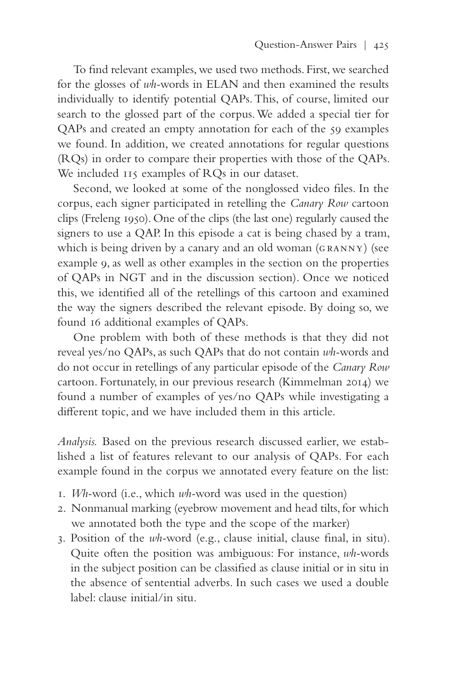To find relevant examples, we used two methods. First, we searched for the glosses of *wh-*words in ELAN and then examined the results individually to identify potential QAPs. This, of course, limited our search to the glossed part of the corpus. We added a special tier for QAPs and created an empty annotation for each of the 59 examples we found. In addition, we created annotations for regular questions (RQs) in order to compare their properties with those of the QAPs. We included  $115$  examples of RQs in our dataset.

Second, we looked at some of the nonglossed video files. In the corpus, each signer participated in retelling the *Canary Row* cartoon clips (Freleng 1950). One of the clips (the last one) regularly caused the signers to use a QAP. In this episode a cat is being chased by a tram, which is being driven by a canary and an old woman (GRANNY) (see example 9, as well as other examples in the section on the properties of QAPs in NGT and in the discussion section). Once we noticed this, we identified all of the retellings of this cartoon and examined the way the signers described the relevant episode. By doing so, we found 16 additional examples of QAPs.

One problem with both of these methods is that they did not reveal yes/no QAPs, as such QAPs that do not contain *wh-*words and do not occur in retellings of any particular episode of the *Canary Row* cartoon. Fortunately, in our previous research (Kimmelman 2014) we found a number of examples of yes/no QAPs while investigating a different topic, and we have included them in this article.

*Analysis.* Based on the previous research discussed earlier, we established a list of features relevant to our analysis of QAPs. For each example found in the corpus we annotated every feature on the list:

- 1. *Wh-*word (i.e., which *wh-*word was used in the question)
- 2. Nonmanual marking (eyebrow movement and head tilts, for which we annotated both the type and the scope of the marker)
- 3. Position of the *wh-*word (e.g., clause initial, clause final, in situ). Quite often the position was ambiguous: For instance, *wh-*words in the subject position can be classified as clause initial or in situ in the absence of sentential adverbs. In such cases we used a double label: clause initial/in situ.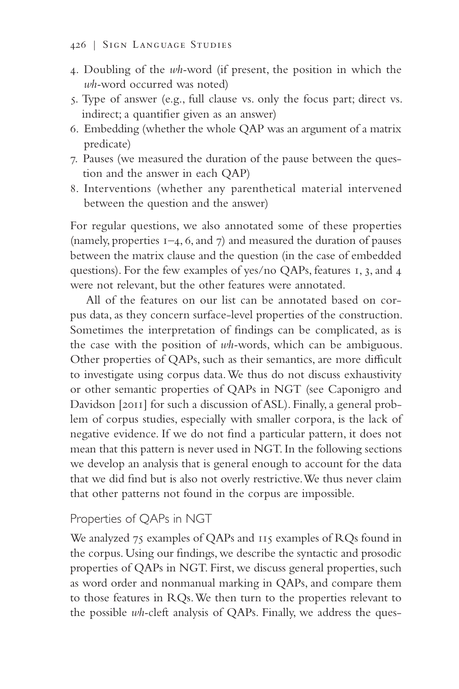- 4. Doubling of the *wh-*word (if present, the position in which the *wh-*word occurred was noted)
- 5. Type of answer (e.g., full clause vs. only the focus part; direct vs. indirect; a quantifier given as an answer)
- 6. Embedding (whether the whole QAP was an argument of a matrix predicate)
- 7. Pauses (we measured the duration of the pause between the question and the answer in each QAP)
- 8. Interventions (whether any parenthetical material intervened between the question and the answer)

For regular questions, we also annotated some of these properties (namely, properties  $I=4, 6,$  and  $7$ ) and measured the duration of pauses between the matrix clause and the question (in the case of embedded questions). For the few examples of yes/no QAPs, features 1, 3, and 4 were not relevant, but the other features were annotated.

All of the features on our list can be annotated based on corpus data, as they concern surface-level properties of the construction. Sometimes the interpretation of findings can be complicated, as is the case with the position of *wh-*words, which can be ambiguous. Other properties of QAPs, such as their semantics, are more difficult to investigate using corpus data. We thus do not discuss exhaustivity or other semantic properties of QAPs in NGT (see Caponigro and Davidson [2011] for such a discussion of ASL). Finally, a general problem of corpus studies, especially with smaller corpora, is the lack of negative evidence. If we do not find a particular pattern, it does not mean that this pattern is never used in NGT. In the following sections we develop an analysis that is general enough to account for the data that we did find but is also not overly restrictive. We thus never claim that other patterns not found in the corpus are impossible.

# Properties of QAPs in NGT

We analyzed 75 examples of QAPs and 115 examples of RQs found in the corpus. Using our findings, we describe the syntactic and prosodic properties of QAPs in NGT. First, we discuss general properties, such as word order and nonmanual marking in QAPs, and compare them to those features in RQs. We then turn to the properties relevant to the possible *wh-*cleft analysis of QAPs. Finally, we address the ques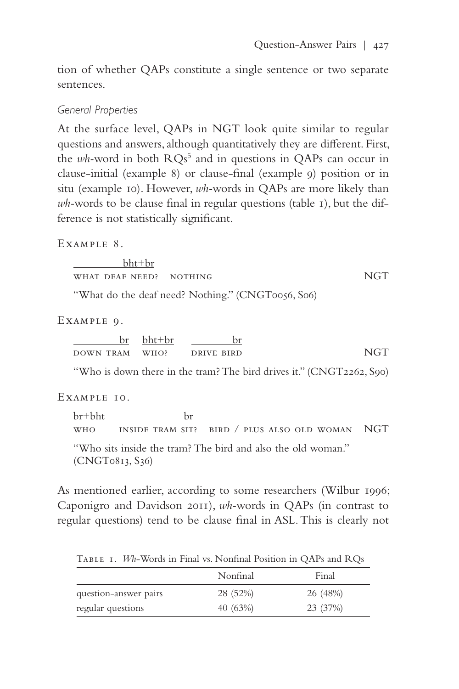tion of whether QAPs constitute a single sentence or two separate sentences.

#### *General Properties*

At the surface level, QAPs in NGT look quite similar to regular questions and answers, although quantitatively they are different. First, the *wh*-word in both RQs<sup>5</sup> and in questions in QAPs can occur in clause-initial (example 8) or clause-final (example 9) position or in situ (example 10). However, *wh-*words in QAPs are more likely than *wh-*words to be clause final in regular questions (table 1), but the difference is not statistically significant.

EXAMPLE 8.

 bht+br what deaf need? nothing NGT

"What do the deaf need? Nothing." (CNGT0056, S06)

Example 9.

|                | $br \thinspace \text{b}$ ht+ $br$ |            |            |
|----------------|-----------------------------------|------------|------------|
| DOWN TRAM WHO? |                                   | DRIVE BIRD | <b>NGT</b> |

"Who is down there in the tram? The bird drives it." (CNGT2262, S90)

#### EXAMPLE 10.

br+bht br who inside tram sit? bird / plus also old woman NGT "Who sits inside the tram? The bird and also the old woman." (CNGT0813, S36)

As mentioned earlier, according to some researchers (Wilbur 1996; Caponigro and Davidson 2011), *wh-*words in QAPs (in contrast to regular questions) tend to be clause final in ASL. This is clearly not

Table 1. *Wh*-Words in Final vs. Nonfinal Position in QAPs and RQs

|                       | Nonfinal   | Final    |
|-----------------------|------------|----------|
| question-answer pairs | 28 (52%)   | 26 (48%) |
| regular questions     | 40 $(63%)$ | 23 (37%) |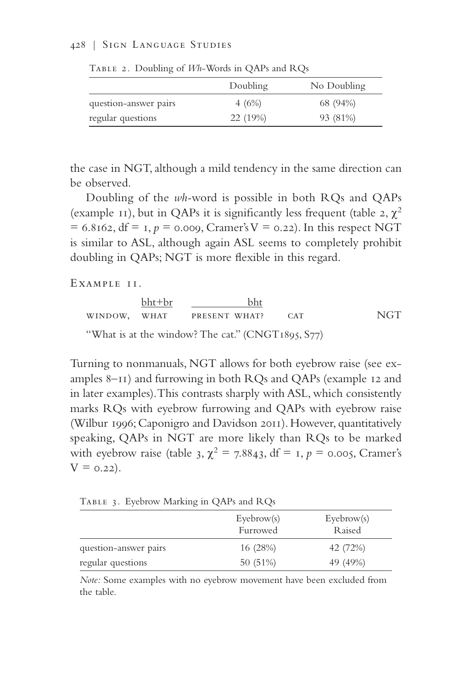#### 428 | Sign Language Studies

|                       | Doubling | No Doubling |
|-----------------------|----------|-------------|
| question-answer pairs | 4(6%)    | 68 (94%)    |
| regular questions     | 22 (19%) | 93 (81%)    |

Table 2. Doubling of *Wh*-Words in QAPs and RQs

the case in NGT, although a mild tendency in the same direction can be observed.

Doubling of the *wh-*word is possible in both RQs and QAPs (example 11), but in QAPs it is significantly less frequent (table 2,  $\chi^2$ )  $= 6.8162$ , df  $= 1, p = 0.009$ , Cramer's V  $= 0.22$ ). In this respect NGT is similar to ASL, although again ASL seems to completely prohibit doubling in QAPs; NGT is more flexible in this regard.

EXAMPLE II.

bht+br bht window, what present what? cat NGT "What is at the window? The cat." (CNGT1895, S77)

Turning to nonmanuals, NGT allows for both eyebrow raise (see examples 8–11) and furrowing in both RQs and QAPs (example 12 and in later examples). This contrasts sharply with ASL, which consistently marks RQs with eyebrow furrowing and QAPs with eyebrow raise (Wilbur 1996; Caponigro and Davidson 2011). However, quantitatively speaking, QAPs in NGT are more likely than RQs to be marked with eyebrow raise (table 3,  $\chi^2 = 7.8843$ , df = 1,  $p = 0.005$ , Cramer's  $V = 0.22$ ).

Table 3. Eyebrow Marking in QAPs and RQs

|                       | $E$ yebrow $(s)$<br>Furrowed | $E$ yebrow $(s)$<br>Raised |
|-----------------------|------------------------------|----------------------------|
| question-answer pairs | 16 (28%)                     | 42 (72%)                   |
| regular questions     | 50 (51%)                     | 49 (49%)                   |

*Note:* Some examples with no eyebrow movement have been excluded from the table.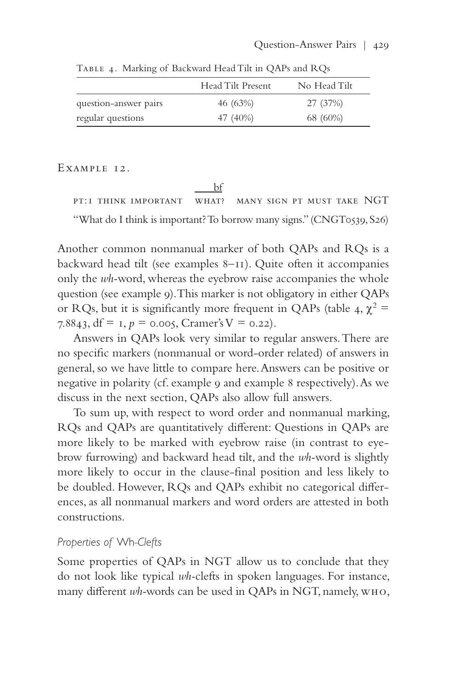|                       | Head Tilt Present | No Head Tilt |
|-----------------------|-------------------|--------------|
| question-answer pairs | 46 (63%)          | 27 (37%)     |
| regular questions     | 47 (40%)          | 68 (60%)     |

Table 4. Marking of Backward Head Tilt in QAPs and RQs

#### Example 12.

 bf pt:1 think important what? many sign pt must take NGT "What do I think is important? To borrow many signs." (CNGT0539, S26)

Another common nonmanual marker of both QAPs and RQs is a backward head tilt (see examples 8–11). Quite often it accompanies only the *wh-*word, whereas the eyebrow raise accompanies the whole question (see example 9). This marker is not obligatory in either QAPs or RQs, but it is significantly more frequent in QAPs (table 4,  $\chi^2$  = 7.8843, df =  $I, p = 0.005$ , Cramer's V = 0.22).

Answers in QAPs look very similar to regular answers. There are no specific markers (nonmanual or word-order related) of answers in general, so we have little to compare here. Answers can be positive or negative in polarity (cf. example 9 and example 8 respectively). As we discuss in the next section, QAPs also allow full answers.

To sum up, with respect to word order and nonmanual marking, RQs and QAPs are quantitatively different: Questions in QAPs are more likely to be marked with eyebrow raise (in contrast to eyebrow furrowing) and backward head tilt, and the *wh-*word is slightly more likely to occur in the clause-final position and less likely to be doubled. However, RQs and QAPs exhibit no categorical differences, as all nonmanual markers and word orders are attested in both constructions.

## *Properties of* Wh*-Clefts*

Some properties of QAPs in NGT allow us to conclude that they do not look like typical *wh-*clefts in spoken languages. For instance, many different *wh-*words can be used in QAPs in NGT, namely, who,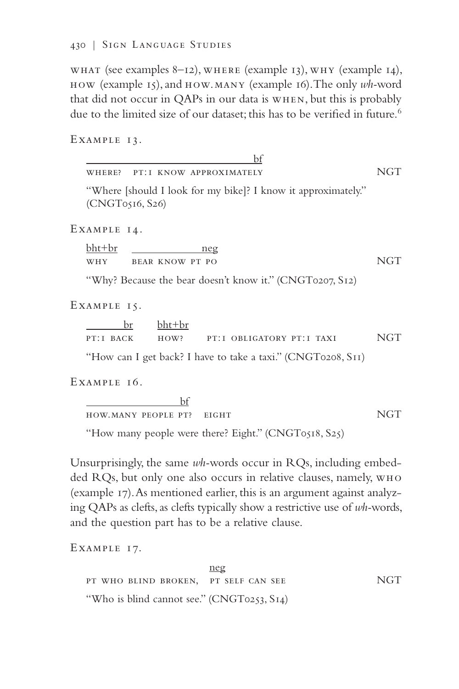what (see examples 8–12), where (example 13), why (example 14), how (example 15), and how.many (example 16). The only *wh-*word that did not occur in QAPs in our data is when, but this is probably due to the limited size of our dataset; this has to be verified in future.<sup>6</sup>

EXAMPLE 13.

 bf where? pt:1 know approximately NGT "Where [should I look for my bike]? I know it approximately." (CNGT0516, S26) Example 14. bht+br neg

WHY BEAR KNOW PT PO NGT

"Why? Because the bear doesn't know it." (CNGT0207, S12)

Example 15.

|           | $br$ $bht+br$ |                                                                                                       |     |
|-----------|---------------|-------------------------------------------------------------------------------------------------------|-----|
| PT:I BACK | HOW?          | PT:I OBLIGATORY PT:I TAXI                                                                             | NGT |
|           |               | "I Level and I and $\ln 12$ I have to take a take $\mathcal{P}(\text{CNOT}(\text{mod} \mathbb{C}^m))$ |     |

How can I get back? I have to take a taxi." (CNGT0208, S<sub>II</sub>)

Example 16.

 bf how.many people pt? eight NGT

"How many people were there? Eight." (CNGT0518, S25)

Unsurprisingly, the same *wh-*words occur in RQs, including embedded RQs, but only one also occurs in relative clauses, namely, who (example 17). As mentioned earlier, this is an argument against analyzing QAPs as clefts, as clefts typically show a restrictive use of *wh-*words, and the question part has to be a relative clause.

Example 17.

|                                            | $\mathop{\rm neg}\nolimits$ |            |
|--------------------------------------------|-----------------------------|------------|
| PT WHO BLIND BROKEN, PT SELF CAN SEE       |                             | <b>NGT</b> |
| "Who is blind cannot see." (CNGT0253, S14) |                             |            |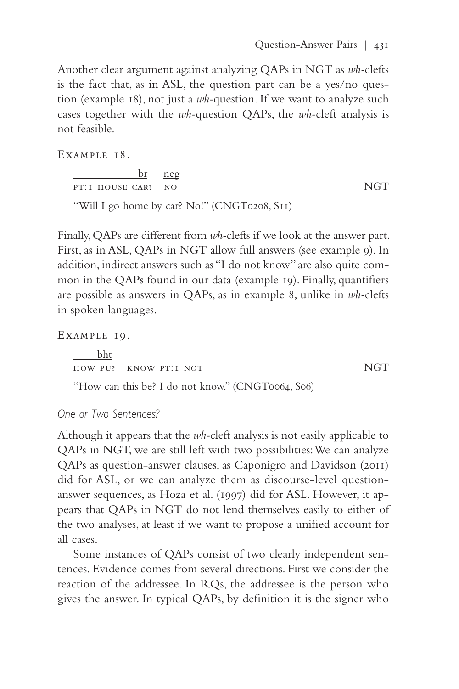Another clear argument against analyzing QAPs in NGT as *wh-*clefts is the fact that, as in ASL, the question part can be a yes/no question (example 18), not just a *wh-*question. If we want to analyze such cases together with the *wh-*question QAPs, the *wh-*cleft analysis is not feasible.

EXAMPLE 18.

 br neg pt:1 house car? no NGT "Will I go home by car? No!" (CNGT0208, S11)

Finally, QAPs are different from *wh-*clefts if we look at the answer part. First, as in ASL, QAPs in NGT allow full answers (see example 9). In addition, indirect answers such as "I do not know" are also quite common in the QAPs found in our data (example 19). Finally, quantifiers are possible as answers in QAPs, as in example 8, unlike in *wh-*clefts in spoken languages.

Example 19.

 bht how pu? know pt:1 not NGT "How can this be? I do not know." (CNGT0064, S06)

*One or Two Sentences?*

Although it appears that the *wh-*cleft analysis is not easily applicable to QAPs in NGT, we are still left with two possibilities: We can analyze QAPs as question-answer clauses, as Caponigro and Davidson (2011) did for ASL, or we can analyze them as discourse-level questionanswer sequences, as Hoza et al. (1997) did for ASL. However, it appears that QAPs in NGT do not lend themselves easily to either of the two analyses, at least if we want to propose a unified account for all cases.

Some instances of QAPs consist of two clearly independent sentences. Evidence comes from several directions. First we consider the reaction of the addressee. In RQs, the addressee is the person who gives the answer. In typical QAPs, by definition it is the signer who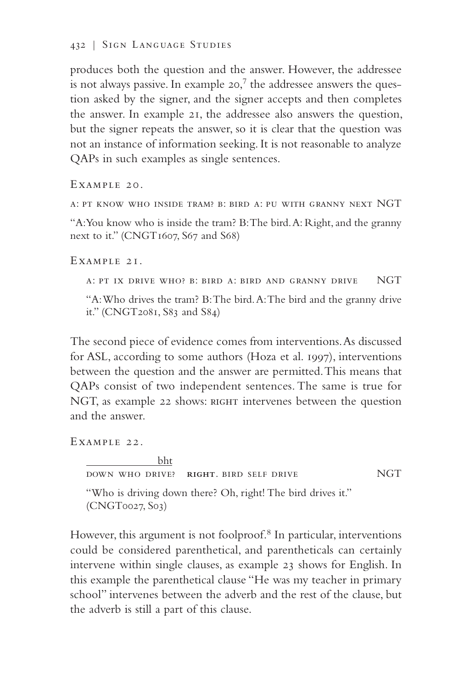produces both the question and the answer. However, the addressee is not always passive. In example 20, $^7$  the addressee answers the question asked by the signer, and the signer accepts and then completes the answer. In example 21, the addressee also answers the question, but the signer repeats the answer, so it is clear that the question was not an instance of information seeking. It is not reasonable to analyze QAPs in such examples as single sentences.

Example 20.

a: pt know who inside tram? b: bird a: pu with granny next NGT

"A: You know who is inside the tram? B: The bird. A: Right, and the granny next to it." (CNGT1607, S67 and S68)

Example 21.

a: pt ix drive who? b: bird a: bird and granny drive NGT

"A: Who drives the tram? B: The bird. A: The bird and the granny drive it." (CNGT2081, S83 and S84)

The second piece of evidence comes from interventions. As discussed for ASL, according to some authors (Hoza et al. 1997), interventions between the question and the answer are permitted. This means that QAPs consist of two independent sentences. The same is true for NGT, as example 22 shows: RIGHT intervenes between the question and the answer.

EXAMPLE 22.

 bht down who drive? **right**. bird self drive NGT "Who is driving down there? Oh, right! The bird drives it." (CNGT0027, S03)

However, this argument is not foolproof.<sup>8</sup> In particular, interventions could be considered parenthetical, and parentheticals can certainly intervene within single clauses, as example 23 shows for English. In this example the parenthetical clause "He was my teacher in primary school" intervenes between the adverb and the rest of the clause, but the adverb is still a part of this clause.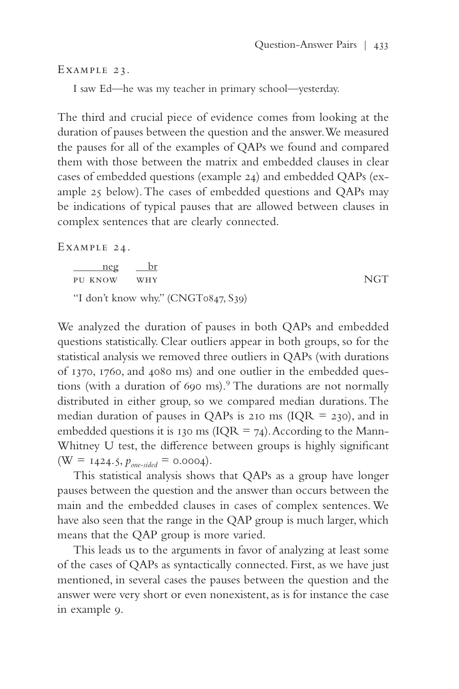#### Example 23.

I saw Ed—he was my teacher in primary school—yesterday.

The third and crucial piece of evidence comes from looking at the duration of pauses between the question and the answer. We measured the pauses for all of the examples of QAPs we found and compared them with those between the matrix and embedded clauses in clear cases of embedded questions (example 24) and embedded QAPs (example 25 below). The cases of embedded questions and QAPs may be indications of typical pauses that are allowed between clauses in complex sentences that are clearly connected.

Example 24.

 neg br pu know why NGT "I don't know why." (CNGT0847, S39)

We analyzed the duration of pauses in both QAPs and embedded questions statistically. Clear outliers appear in both groups, so for the statistical analysis we removed three outliers in QAPs (with durations of 1370, 1760, and 4080 ms) and one outlier in the embedded questions (with a duration of 690 ms).9 The durations are not normally distributed in either group, so we compared median durations. The median duration of pauses in QAPs is 210 ms ( $IQR = 230$ ), and in embedded questions it is 130 ms ( $IQR = 74$ ). According to the Mann-Whitney U test, the difference between groups is highly significant  $(W = 1424.5, p_{one-sided} = 0.0004).$ 

This statistical analysis shows that QAPs as a group have longer pauses between the question and the answer than occurs between the main and the embedded clauses in cases of complex sentences. We have also seen that the range in the QAP group is much larger, which means that the QAP group is more varied.

This leads us to the arguments in favor of analyzing at least some of the cases of QAPs as syntactically connected. First, as we have just mentioned, in several cases the pauses between the question and the answer were very short or even nonexistent, as is for instance the case in example 9.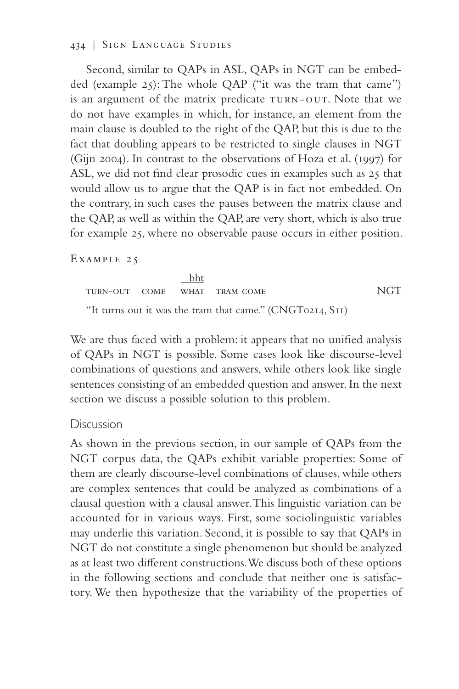#### 434 | Sign Language Studies

Second, similar to QAPs in ASL, QAPs in NGT can be embedded (example 25): The whole QAP ("it was the tram that came") is an argument of the matrix predicate TURN-OUT. Note that we do not have examples in which, for instance, an element from the main clause is doubled to the right of the QAP, but this is due to the fact that doubling appears to be restricted to single clauses in NGT (Gijn 2004). In contrast to the observations of Hoza et al. (1997) for ASL, we did not find clear prosodic cues in examples such as 25 that would allow us to argue that the QAP is in fact not embedded. On the contrary, in such cases the pauses between the matrix clause and the QAP, as well as within the QAP, are very short, which is also true for example 25, where no observable pause occurs in either position.

EXAMPLE 25

 bht turn-out come what tram come NGT "It turns out it was the tram that came." (CNGT0214, S11)

We are thus faced with a problem: it appears that no unified analysis of QAPs in NGT is possible. Some cases look like discourse-level combinations of questions and answers, while others look like single sentences consisting of an embedded question and answer. In the next section we discuss a possible solution to this problem.

## **Discussion**

As shown in the previous section, in our sample of QAPs from the NGT corpus data, the QAPs exhibit variable properties: Some of them are clearly discourse-level combinations of clauses, while others are complex sentences that could be analyzed as combinations of a clausal question with a clausal answer. This linguistic variation can be accounted for in various ways. First, some sociolinguistic variables may underlie this variation. Second, it is possible to say that QAPs in NGT do not constitute a single phenomenon but should be analyzed as at least two different constructions. We discuss both of these options in the following sections and conclude that neither one is satisfactory. We then hypothesize that the variability of the properties of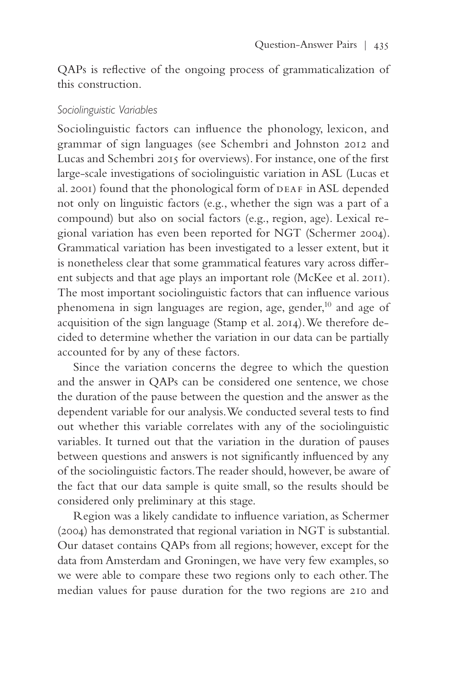QAPs is reflective of the ongoing process of grammaticalization of this construction.

## *Sociolinguistic Variables*

Sociolinguistic factors can influence the phonology, lexicon, and grammar of sign languages (see Schembri and Johnston 2012 and Lucas and Schembri 2015 for overviews). For instance, one of the first large-scale investigations of sociolinguistic variation in ASL (Lucas et al. 2001) found that the phonological form of DEAF in ASL depended not only on linguistic factors (e.g., whether the sign was a part of a compound) but also on social factors (e.g., region, age). Lexical regional variation has even been reported for NGT (Schermer 2004). Grammatical variation has been investigated to a lesser extent, but it is nonetheless clear that some grammatical features vary across different subjects and that age plays an important role (McKee et al. 2011). The most important sociolinguistic factors that can influence various phenomena in sign languages are region, age, gender, $10$  and age of acquisition of the sign language (Stamp et al. 2014). We therefore decided to determine whether the variation in our data can be partially accounted for by any of these factors.

Since the variation concerns the degree to which the question and the answer in QAPs can be considered one sentence, we chose the duration of the pause between the question and the answer as the dependent variable for our analysis. We conducted several tests to find out whether this variable correlates with any of the sociolinguistic variables. It turned out that the variation in the duration of pauses between questions and answers is not significantly influenced by any of the sociolinguistic factors. The reader should, however, be aware of the fact that our data sample is quite small, so the results should be considered only preliminary at this stage.

Region was a likely candidate to influence variation, as Schermer (2004) has demonstrated that regional variation in NGT is substantial. Our dataset contains QAPs from all regions; however, except for the data from Amsterdam and Groningen, we have very few examples, so we were able to compare these two regions only to each other. The median values for pause duration for the two regions are 210 and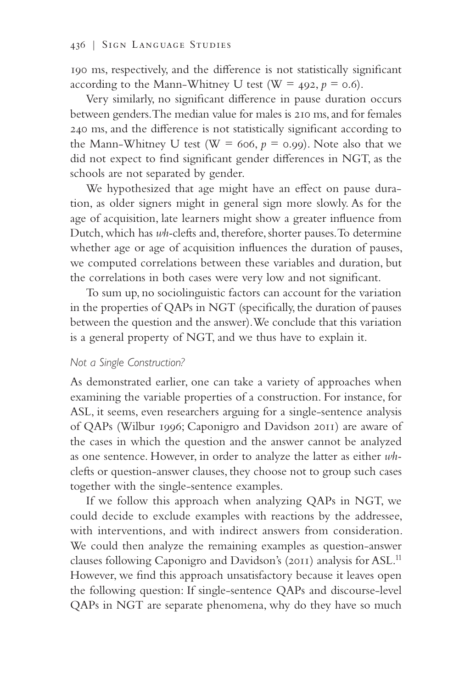190 ms, respectively, and the difference is not statistically significant according to the Mann-Whitney U test ( $W = 492$ ,  $p = 0.6$ ).

Very similarly, no significant difference in pause duration occurs between genders. The median value for males is 210 ms, and for females 240 ms, and the difference is not statistically significant according to the Mann-Whitney U test ( $W = 606$ ,  $p = 0.99$ ). Note also that we did not expect to find significant gender differences in NGT, as the schools are not separated by gender.

We hypothesized that age might have an effect on pause duration, as older signers might in general sign more slowly. As for the age of acquisition, late learners might show a greater influence from Dutch, which has *wh-*clefts and, therefore, shorter pauses. To determine whether age or age of acquisition influences the duration of pauses, we computed correlations between these variables and duration, but the correlations in both cases were very low and not significant.

To sum up, no sociolinguistic factors can account for the variation in the properties of QAPs in NGT (specifically, the duration of pauses between the question and the answer). We conclude that this variation is a general property of NGT, and we thus have to explain it.

# *Not a Single Construction?*

As demonstrated earlier, one can take a variety of approaches when examining the variable properties of a construction. For instance, for ASL, it seems, even researchers arguing for a single-sentence analysis of QAPs (Wilbur 1996; Caponigro and Davidson 2011) are aware of the cases in which the question and the answer cannot be analyzed as one sentence. However, in order to analyze the latter as either *wh*clefts or question-answer clauses, they choose not to group such cases together with the single-sentence examples.

If we follow this approach when analyzing QAPs in NGT, we could decide to exclude examples with reactions by the addressee, with interventions, and with indirect answers from consideration. We could then analyze the remaining examples as question-answer clauses following Caponigro and Davidson's (2011) analysis for ASL.<sup>11</sup> However, we find this approach unsatisfactory because it leaves open the following question: If single-sentence QAPs and discourse-level QAPs in NGT are separate phenomena, why do they have so much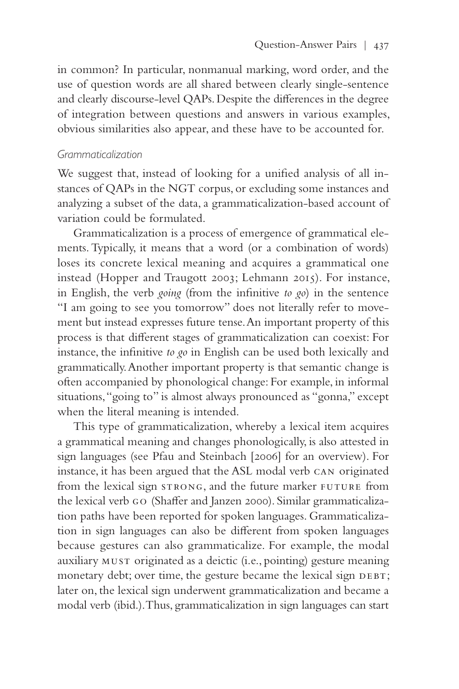in common? In particular, nonmanual marking, word order, and the use of question words are all shared between clearly single-sentence and clearly discourse-level QAPs. Despite the differences in the degree of integration between questions and answers in various examples, obvious similarities also appear, and these have to be accounted for.

#### *Grammaticalization*

We suggest that, instead of looking for a unified analysis of all instances of QAPs in the NGT corpus, or excluding some instances and analyzing a subset of the data, a grammaticalization-based account of variation could be formulated.

Grammaticalization is a process of emergence of grammatical elements. Typically, it means that a word (or a combination of words) loses its concrete lexical meaning and acquires a grammatical one instead (Hopper and Traugott 2003; Lehmann 2015). For instance, in English, the verb *going* (from the infinitive *to go*) in the sentence "I am going to see you tomorrow" does not literally refer to movement but instead expresses future tense. An important property of this process is that different stages of grammaticalization can coexist: For instance, the infinitive *to go* in English can be used both lexically and grammatically. Another important property is that semantic change is often accompanied by phonological change: For example, in informal situations, "going to" is almost always pronounced as "gonna," except when the literal meaning is intended.

This type of grammaticalization, whereby a lexical item acquires a grammatical meaning and changes phonologically, is also attested in sign languages (see Pfau and Steinbach [2006] for an overview). For instance, it has been argued that the ASL modal verb can originated from the lexical sign strong, and the future marker future from the lexical verb go (Shaffer and Janzen 2000). Similar grammaticalization paths have been reported for spoken languages. Grammaticalization in sign languages can also be different from spoken languages because gestures can also grammaticalize. For example, the modal auxiliary must originated as a deictic (i.e., pointing) gesture meaning monetary debt; over time, the gesture became the lexical sign DEBT; later on, the lexical sign underwent grammaticalization and became a modal verb (ibid.). Thus, grammaticalization in sign languages can start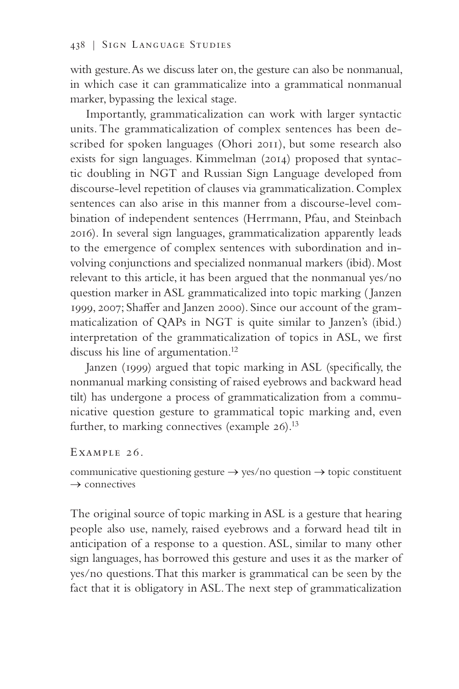with gesture. As we discuss later on, the gesture can also be nonmanual, in which case it can grammaticalize into a grammatical nonmanual marker, bypassing the lexical stage.

Importantly, grammaticalization can work with larger syntactic units. The grammaticalization of complex sentences has been described for spoken languages (Ohori 2011), but some research also exists for sign languages. Kimmelman (2014) proposed that syntactic doubling in NGT and Russian Sign Language developed from discourse-level repetition of clauses via grammaticalization. Complex sentences can also arise in this manner from a discourse-level combination of independent sentences (Herrmann, Pfau, and Steinbach 2016). In several sign languages, grammaticalization apparently leads to the emergence of complex sentences with subordination and involving conjunctions and specialized nonmanual markers (ibid). Most relevant to this article, it has been argued that the nonmanual yes/no question marker in ASL grammaticalized into topic marking ( Janzen 1999, 2007; Shaffer and Janzen 2000). Since our account of the grammaticalization of QAPs in NGT is quite similar to Janzen's (ibid.) interpretation of the grammaticalization of topics in ASL, we first discuss his line of argumentation.<sup>12</sup>

Janzen (1999) argued that topic marking in ASL (specifically, the nonmanual marking consisting of raised eyebrows and backward head tilt) has undergone a process of grammaticalization from a communicative question gesture to grammatical topic marking and, even further, to marking connectives (example 26).<sup>13</sup>

#### Example 26.

communicative questioning gesture → yes/no question → topic constituent  $\rightarrow$  connectives

The original source of topic marking in ASL is a gesture that hearing people also use, namely, raised eyebrows and a forward head tilt in anticipation of a response to a question. ASL, similar to many other sign languages, has borrowed this gesture and uses it as the marker of yes/no questions. That this marker is grammatical can be seen by the fact that it is obligatory in ASL. The next step of grammaticalization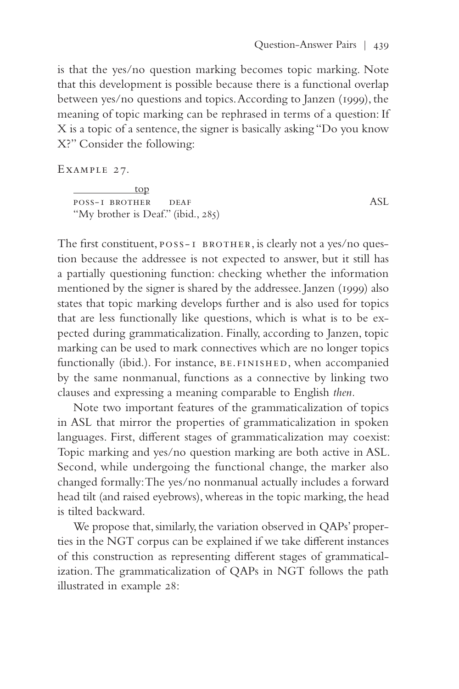is that the yes/no question marking becomes topic marking. Note that this development is possible because there is a functional overlap between yes/no questions and topics. According to Janzen (1999), the meaning of topic marking can be rephrased in terms of a question: If X is a topic of a sentence, the signer is basically asking "Do you know X?" Consider the following:

Example 27.

 top poss-1 brother deaf ASL "My brother is Deaf." (ibid., 285)

The first constituent,  $poss-I$   $BROTHER$ , is clearly not a yes/no question because the addressee is not expected to answer, but it still has a partially questioning function: checking whether the information mentioned by the signer is shared by the addressee. Janzen (1999) also states that topic marking develops further and is also used for topics that are less functionally like questions, which is what is to be expected during grammaticalization. Finally, according to Janzen, topic marking can be used to mark connectives which are no longer topics functionally (ibid.). For instance, be.finished, when accompanied by the same nonmanual, functions as a connective by linking two clauses and expressing a meaning comparable to English *then.*

Note two important features of the grammaticalization of topics in ASL that mirror the properties of grammaticalization in spoken languages. First, different stages of grammaticalization may coexist: Topic marking and yes/no question marking are both active in ASL. Second, while undergoing the functional change, the marker also changed formally: The yes/no nonmanual actually includes a forward head tilt (and raised eyebrows), whereas in the topic marking, the head is tilted backward.

We propose that, similarly, the variation observed in QAPs' properties in the NGT corpus can be explained if we take different instances of this construction as representing different stages of grammaticalization. The grammaticalization of QAPs in NGT follows the path illustrated in example 28: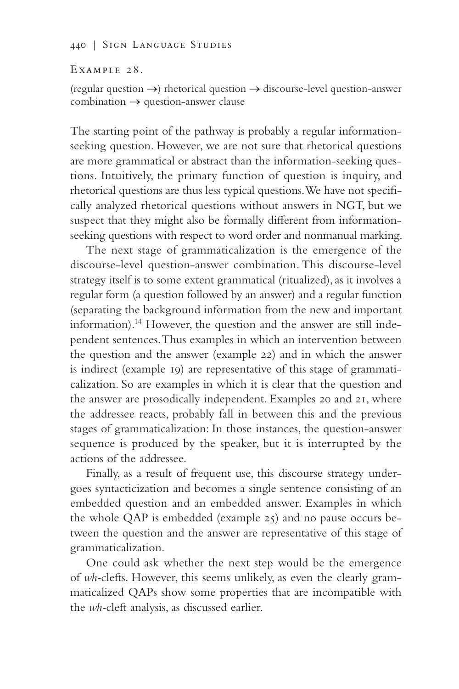Example 28.

(regular question  $\rightarrow$ ) rhetorical question  $\rightarrow$  discourse-level question-answer  $combination \rightarrow question-answer$  clause

The starting point of the pathway is probably a regular informationseeking question. However, we are not sure that rhetorical questions are more grammatical or abstract than the information-seeking questions. Intuitively, the primary function of question is inquiry, and rhetorical questions are thus less typical questions. We have not specifically analyzed rhetorical questions without answers in NGT, but we suspect that they might also be formally different from informationseeking questions with respect to word order and nonmanual marking.

The next stage of grammaticalization is the emergence of the discourse-level question-answer combination. This discourse-level strategy itself is to some extent grammatical (ritualized), as it involves a regular form (a question followed by an answer) and a regular function (separating the background information from the new and important information).14 However, the question and the answer are still independent sentences. Thus examples in which an intervention between the question and the answer (example 22) and in which the answer is indirect (example 19) are representative of this stage of grammaticalization. So are examples in which it is clear that the question and the answer are prosodically independent. Examples 20 and 21, where the addressee reacts, probably fall in between this and the previous stages of grammaticalization: In those instances, the question-answer sequence is produced by the speaker, but it is interrupted by the actions of the addressee.

Finally, as a result of frequent use, this discourse strategy undergoes syntacticization and becomes a single sentence consisting of an embedded question and an embedded answer. Examples in which the whole QAP is embedded (example 25) and no pause occurs between the question and the answer are representative of this stage of grammaticalization.

One could ask whether the next step would be the emergence of *wh-*clefts. However, this seems unlikely, as even the clearly grammaticalized QAPs show some properties that are incompatible with the *wh-*cleft analysis, as discussed earlier.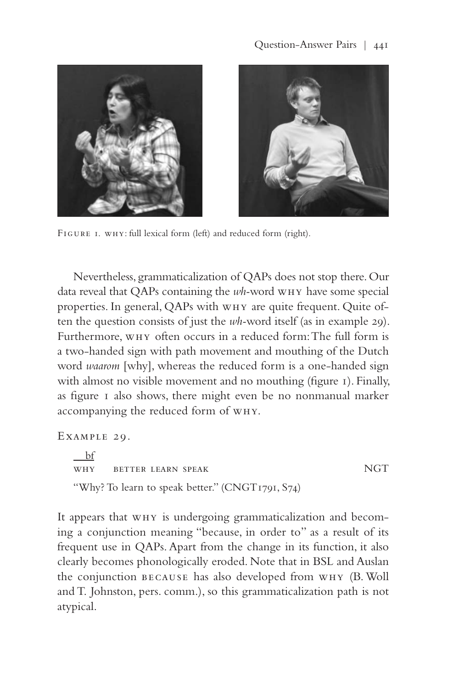



FIGURE I. WHY: full lexical form (left) and reduced form (right).

Nevertheless, grammaticalization of QAPs does not stop there. Our data reveal that QAPs containing the *wh-*word why have some special properties. In general, QAPs with why are quite frequent. Quite often the question consists of just the *wh-*word itself (as in example 29). Furthermore, why often occurs in a reduced form: The full form is a two-handed sign with path movement and mouthing of the Dutch word *waarom* [why], whereas the reduced form is a one-handed sign with almost no visible movement and no mouthing (figure 1). Finally, as figure 1 also shows, there might even be no nonmanual marker accompanying the reduced form of why.

Example 29.

 $\mathbf{b}$ f why better learn speak NGT "Why? To learn to speak better." (CNGT1791, S74)

It appears that why is undergoing grammaticalization and becoming a conjunction meaning "because, in order to" as a result of its frequent use in QAPs. Apart from the change in its function, it also clearly becomes phonologically eroded. Note that in BSL and Auslan the conjunction because has also developed from why (B. Woll and T. Johnston, pers. comm.), so this grammaticalization path is not atypical.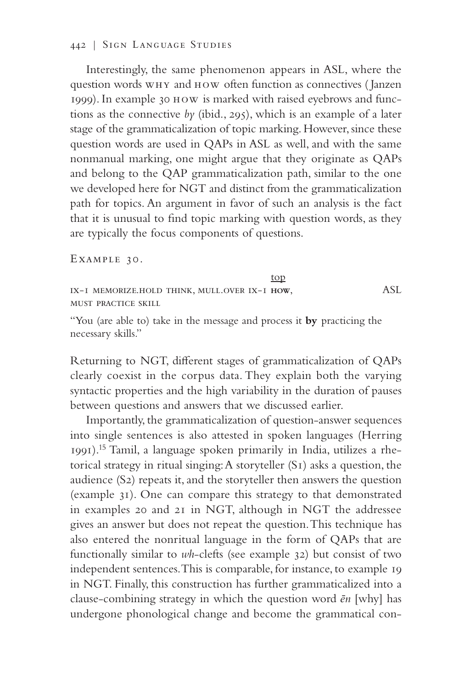#### 442 | Sign Language Studies

Interestingly, the same phenomenon appears in ASL, where the question words why and how often function as connectives ( Janzen 1999). In example 30 how is marked with raised eyebrows and functions as the connective *by* (ibid., 295), which is an example of a later stage of the grammaticalization of topic marking. However, since these question words are used in QAPs in ASL as well, and with the same nonmanual marking, one might argue that they originate as QAPs and belong to the QAP grammaticalization path, similar to the one we developed here for NGT and distinct from the grammaticalization path for topics. An argument in favor of such an analysis is the fact that it is unusual to find topic marking with question words, as they are typically the focus components of questions.

Example 30.

top ix-1 memorize.hold think, mull.over ix-1 **how**, ASL must practice skill

"You (are able to) take in the message and process it **by** practicing the necessary skills."

Returning to NGT, different stages of grammaticalization of QAPs clearly coexist in the corpus data. They explain both the varying syntactic properties and the high variability in the duration of pauses between questions and answers that we discussed earlier.

Importantly, the grammaticalization of question-answer sequences into single sentences is also attested in spoken languages (Herring 1991).15 Tamil, a language spoken primarily in India, utilizes a rhetorical strategy in ritual singing: A storyteller (S1) asks a question, the audience (S2) repeats it, and the storyteller then answers the question (example 31). One can compare this strategy to that demonstrated in examples 20 and 21 in NGT, although in NGT the addressee gives an answer but does not repeat the question. This technique has also entered the nonritual language in the form of QAPs that are functionally similar to *wh*-clefts (see example 32) but consist of two independent sentences. This is comparable, for instance, to example 19 in NGT. Finally, this construction has further grammaticalized into a clause-combining strategy in which the question word *ēn* [why] has undergone phonological change and become the grammatical con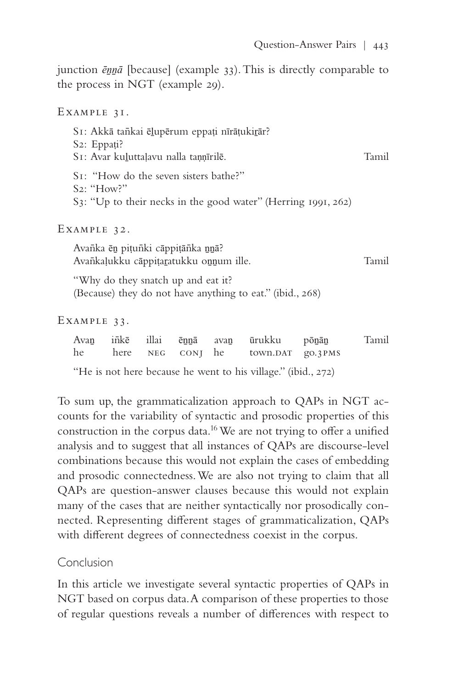junction *ēṉṉā* [because] (example 33). This is directly comparable to the process in NGT (example 29).

Example 31. S1: Akkā tankai ēļupērum eppați nīrāțukirār? S<sub>2</sub>: Eppati? S1: Avar kuḻuttaḷavu nalla taṇṇīrilē. Tamil S1: "How do the seven sisters bathe?" S2: "How?" S3: "Up to their necks in the good water" (Herring 1991, 262) Example 32. Avanīka ēn pițunīki cāppițānīka nnā? Avan̄kaḷukku cāppiṭaṯatukku on̯num ille. Tamil "Why do they snatch up and eat it? (Because) they do not have anything to eat." (ibid., 268) Example 33. Avaṉ in¯kē illai ēṉṉā avaṉ ūrukku pōṉāṉ Tamil

|  |  | Avan inkē illai ēnnā avan ūrukku ponān | – Tami |
|--|--|----------------------------------------|--------|
|  |  | he here NEG CONJ he town.DAT go.3PMS   |        |

"He is not here because he went to his village." (ibid., 272)

To sum up, the grammaticalization approach to QAPs in NGT accounts for the variability of syntactic and prosodic properties of this construction in the corpus data.16 We are not trying to offer a unified analysis and to suggest that all instances of QAPs are discourse-level combinations because this would not explain the cases of embedding and prosodic connectedness. We are also not trying to claim that all QAPs are question-answer clauses because this would not explain many of the cases that are neither syntactically nor prosodically connected. Representing different stages of grammaticalization, QAPs with different degrees of connectedness coexist in the corpus.

# Conclusion

In this article we investigate several syntactic properties of QAPs in NGT based on corpus data. A comparison of these properties to those of regular questions reveals a number of differences with respect to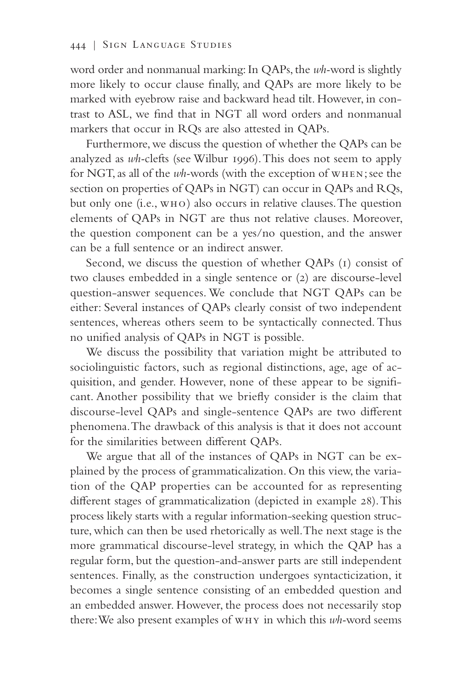word order and nonmanual marking: In QAPs, the *wh-*word is slightly more likely to occur clause finally, and QAPs are more likely to be marked with eyebrow raise and backward head tilt. However, in contrast to ASL, we find that in NGT all word orders and nonmanual markers that occur in RQs are also attested in QAPs.

Furthermore, we discuss the question of whether the QAPs can be analyzed as *wh-*clefts (see Wilbur 1996). This does not seem to apply for NGT, as all of the *wh-*words (with the exception of when; see the section on properties of QAPs in NGT) can occur in QAPs and RQs, but only one (i.e., who) also occurs in relative clauses. The question elements of QAPs in NGT are thus not relative clauses. Moreover, the question component can be a yes/no question, and the answer can be a full sentence or an indirect answer.

Second, we discuss the question of whether QAPs (1) consist of two clauses embedded in a single sentence or (2) are discourse-level question-answer sequences. We conclude that NGT QAPs can be either: Several instances of QAPs clearly consist of two independent sentences, whereas others seem to be syntactically connected. Thus no unified analysis of QAPs in NGT is possible.

We discuss the possibility that variation might be attributed to sociolinguistic factors, such as regional distinctions, age, age of acquisition, and gender. However, none of these appear to be significant. Another possibility that we briefly consider is the claim that discourse-level QAPs and single-sentence QAPs are two different phenomena. The drawback of this analysis is that it does not account for the similarities between different QAPs.

We argue that all of the instances of QAPs in NGT can be explained by the process of grammaticalization. On this view, the variation of the QAP properties can be accounted for as representing different stages of grammaticalization (depicted in example 28). This process likely starts with a regular information-seeking question structure, which can then be used rhetorically as well. The next stage is the more grammatical discourse-level strategy, in which the QAP has a regular form, but the question-and-answer parts are still independent sentences. Finally, as the construction undergoes syntacticization, it becomes a single sentence consisting of an embedded question and an embedded answer. However, the process does not necessarily stop there: We also present examples of why in which this *wh-*word seems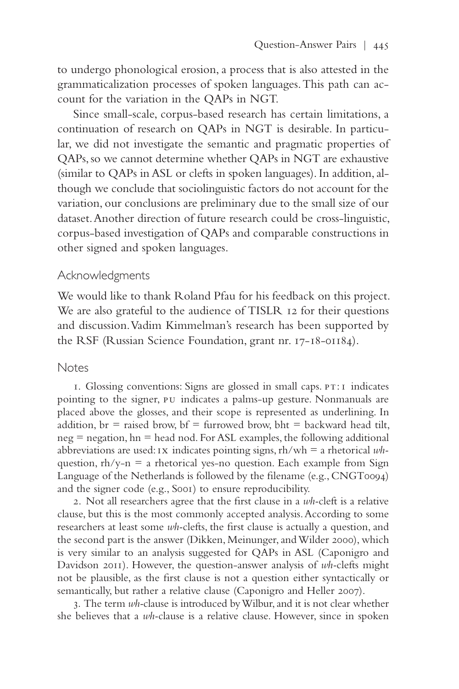to undergo phonological erosion, a process that is also attested in the grammaticalization processes of spoken languages. This path can account for the variation in the QAPs in NGT.

Since small-scale, corpus-based research has certain limitations, a continuation of research on QAPs in NGT is desirable. In particular, we did not investigate the semantic and pragmatic properties of QAPs, so we cannot determine whether QAPs in NGT are exhaustive (similar to QAPs in ASL or clefts in spoken languages). In addition, although we conclude that sociolinguistic factors do not account for the variation, our conclusions are preliminary due to the small size of our dataset. Another direction of future research could be cross-linguistic, corpus-based investigation of QAPs and comparable constructions in other signed and spoken languages.

#### Acknowledgments

We would like to thank Roland Pfau for his feedback on this project. We are also grateful to the audience of TISLR 12 for their questions and discussion. Vadim Kimmelman's research has been supported by the RSF (Russian Science Foundation, grant nr. 17-18-01184).

#### **Notes**

1. Glossing conventions: Signs are glossed in small caps. pt:1 indicates pointing to the signer, pu indicates a palms-up gesture. Nonmanuals are placed above the glosses, and their scope is represented as underlining. In addition,  $br = raised brown, bf = furrowed brown, bht = backward head tilt,$  $neg = negation, hn = head nod. For ASL examples, the following additional$ abbreviations are used: ix indicates pointing signs, rh/wh = a rhetorical *wh*question,  $\frac{rh}{y-n}$  = a rhetorical yes-no question. Each example from Sign Language of the Netherlands is followed by the filename (e.g., CNGT0094) and the signer code (e.g., S001) to ensure reproducibility.

2. Not all researchers agree that the first clause in a *wh-*cleft is a relative clause, but this is the most commonly accepted analysis. According to some researchers at least some *wh-*clefts, the first clause is actually a question, and the second part is the answer (Dikken, Meinunger, and Wilder 2000), which is very similar to an analysis suggested for QAPs in ASL (Caponigro and Davidson 2011). However, the question-answer analysis of *wh-*clefts might not be plausible, as the first clause is not a question either syntactically or semantically, but rather a relative clause (Caponigro and Heller 2007).

3. The term *wh-*clause is introduced by Wilbur, and it is not clear whether she believes that a *wh-*clause is a relative clause. However, since in spoken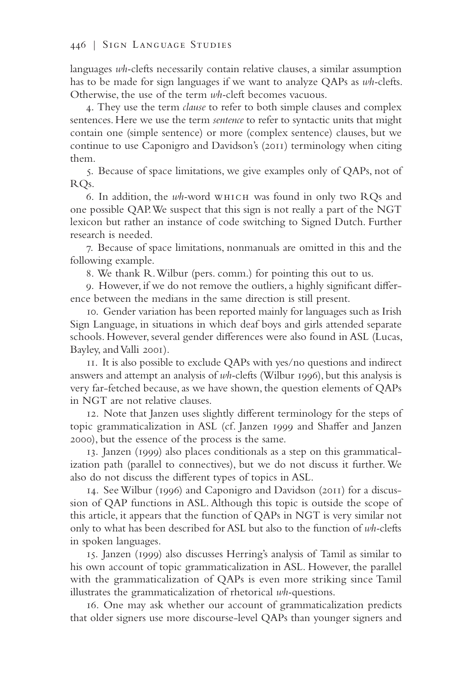languages *wh-*clefts necessarily contain relative clauses, a similar assumption has to be made for sign languages if we want to analyze QAPs as *wh-*clefts. Otherwise, the use of the term *wh-*cleft becomes vacuous.

4. They use the term *clause* to refer to both simple clauses and complex sentences. Here we use the term *sentence* to refer to syntactic units that might contain one (simple sentence) or more (complex sentence) clauses, but we continue to use Caponigro and Davidson's (2011) terminology when citing them.

5. Because of space limitations, we give examples only of QAPs, not of RQs.

6. In addition, the *wh-*word which was found in only two RQs and one possible QAP. We suspect that this sign is not really a part of the NGT lexicon but rather an instance of code switching to Signed Dutch. Further research is needed.

7. Because of space limitations, nonmanuals are omitted in this and the following example.

8. We thank R. Wilbur (pers. comm.) for pointing this out to us.

9. However, if we do not remove the outliers, a highly significant difference between the medians in the same direction is still present.

10. Gender variation has been reported mainly for languages such as Irish Sign Language, in situations in which deaf boys and girls attended separate schools. However, several gender differences were also found in ASL (Lucas, Bayley, and Valli 2001).

11. It is also possible to exclude QAPs with yes/no questions and indirect answers and attempt an analysis of *wh-*clefts (Wilbur 1996), but this analysis is very far-fetched because, as we have shown, the question elements of QAPs in NGT are not relative clauses.

12. Note that Janzen uses slightly different terminology for the steps of topic grammaticalization in ASL (cf. Janzen 1999 and Shaffer and Janzen 2000), but the essence of the process is the same.

13. Janzen (1999) also places conditionals as a step on this grammaticalization path (parallel to connectives), but we do not discuss it further. We also do not discuss the different types of topics in ASL.

14. See Wilbur (1996) and Caponigro and Davidson (2011) for a discussion of QAP functions in ASL. Although this topic is outside the scope of this article, it appears that the function of QAPs in NGT is very similar not only to what has been described for ASL but also to the function of *wh-*clefts in spoken languages.

15. Janzen (1999) also discusses Herring's analysis of Tamil as similar to his own account of topic grammaticalization in ASL. However, the parallel with the grammaticalization of QAPs is even more striking since Tamil illustrates the grammaticalization of rhetorical *wh-*questions.

16. One may ask whether our account of grammaticalization predicts that older signers use more discourse-level QAPs than younger signers and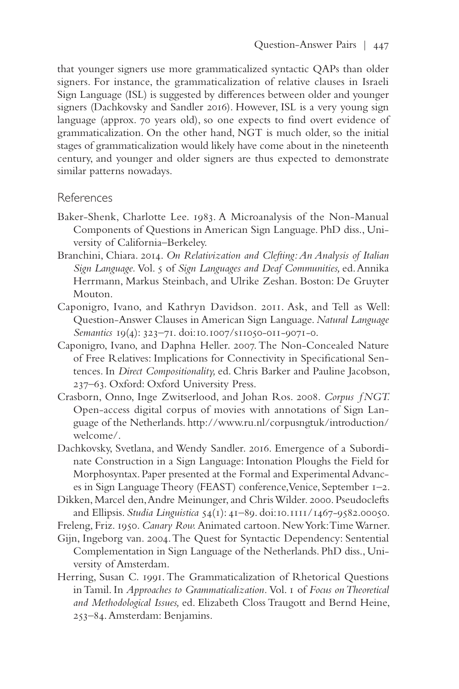that younger signers use more grammaticalized syntactic QAPs than older signers. For instance, the grammaticalization of relative clauses in Israeli Sign Language (ISL) is suggested by differences between older and younger signers (Dachkovsky and Sandler 2016). However, ISL is a very young sign language (approx. 70 years old), so one expects to find overt evidence of grammaticalization. On the other hand, NGT is much older, so the initial stages of grammaticalization would likely have come about in the nineteenth century, and younger and older signers are thus expected to demonstrate similar patterns nowadays.

## References

- Baker-Shenk, Charlotte Lee. 1983. A Microanalysis of the Non-Manual Components of Questions in American Sign Language. PhD diss., University of California–Berkeley.
- Branchini, Chiara. 2014. *On Relativization and Clefting: An Analysis of Italian Sign Language.* Vol. 5 of *Sign Languages and Deaf Communities,* ed. Annika Herrmann, Markus Steinbach, and Ulrike Zeshan. Boston: De Gruyter Mouton.
- Caponigro, Ivano, and Kathryn Davidson. 2011. Ask, and Tell as Well: Question-Answer Clauses in American Sign Language. *Natural Language Semantics* 19(4): 323–71. doi:10.1007/s11050-011-9071-0.
- Caponigro, Ivano, and Daphna Heller. 2007. The Non-Concealed Nature of Free Relatives: Implications for Connectivity in Specificational Sentences. In *Direct Compositionality,* ed. Chris Barker and Pauline Jacobson, 237–63. Oxford: Oxford University Press.
- Crasborn, Onno, Inge Zwitserlood, and Johan Ros. 2008. *Corpus ƒNGT.*  Open-access digital corpus of movies with annotations of Sign Language of the Netherlands.<http://www.ru.nl/corpusngtuk/introduction/> welcome/.
- Dachkovsky, Svetlana, and Wendy Sandler. 2016. Emergence of a Subordinate Construction in a Sign Language: Intonation Ploughs the Field for Morphosyntax. Paper presented at the Formal and Experimental Advances in Sign Language Theory (FEAST) conference, Venice, September 1–2.
- Dikken, Marcel den, Andre Meinunger, and Chris Wilder. 2000. Pseudoclefts and Ellipsis. *Studia Linguistica* 54(1): 41–89. doi:10.1111/1467-9582.00050.

Freleng, Friz. 1950. *Canary Row.* Animated cartoon. New York: Time Warner.

- Gijn, Ingeborg van. 2004. The Quest for Syntactic Dependency: Sentential Complementation in Sign Language of the Netherlands. PhD diss., University of Amsterdam.
- Herring, Susan C. 1991. The Grammaticalization of Rhetorical Questions in Tamil. In *Approaches to Grammaticalization.* Vol. 1 of *Focus on Theoretical and Methodological Issues,* ed. Elizabeth Closs Traugott and Bernd Heine, 253–84. Amsterdam: Benjamins.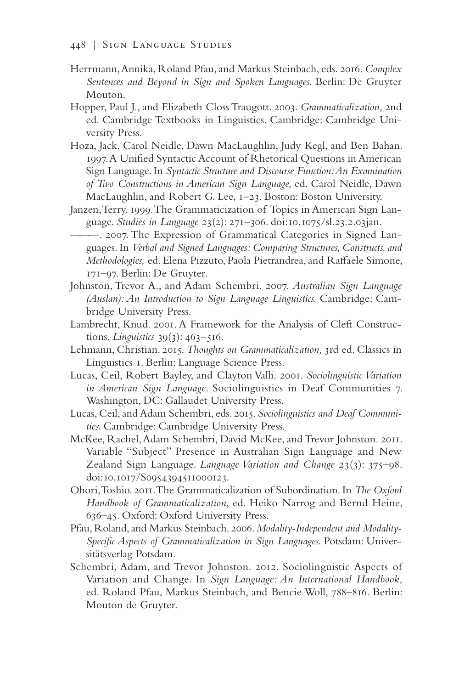- Herrmann, Annika, Roland Pfau, and Markus Steinbach, eds. 2016. *Complex Sentences and Beyond in Sign and Spoken Languages.* Berlin: De Gruyter Mouton.
- Hopper, Paul J., and Elizabeth Closs Traugott. 2003. *Grammaticalization,* 2nd ed. Cambridge Textbooks in Linguistics. Cambridge: Cambridge University Press.
- Hoza, Jack, Carol Neidle, Dawn MacLaughlin, Judy Kegl, and Ben Bahan. 1997. A Unified Syntactic Account of Rhetorical Questions in American Sign Language. In *Syntactic Structure and Discourse Function: An Examination of Two Constructions in American Sign Language,* ed. Carol Neidle, Dawn MacLaughlin, and Robert G. Lee, 1–23. Boston: Boston University.
- Janzen, Terry. 1999. The Grammaticization of Topics in American Sign Language. *Studies in Language* 23(2): 271–306. doi:10.1075/sl.23.2.03jan.
- ———. 2007. The Expression of Grammatical Categories in Signed Languages. In *Verbal and Signed Languages: Comparing Structures, Constructs, and Methodologies,* ed. Elena Pizzuto, Paola Pietrandrea, and Raffaele Simone, 171–97. Berlin: De Gruyter.
- Johnston, Trevor A., and Adam Schembri. 2007. *Australian Sign Language (Auslan): An Introduction to Sign Language Linguistics.* Cambridge: Cambridge University Press.
- Lambrecht, Knud. 2001. A Framework for the Analysis of Cleft Constructions. *Linguistics* 39(3): 463–516.
- Lehmann, Christian. 2015. *Thoughts on Grammaticalization,* 3rd ed. Classics in Linguistics 1. Berlin: Language Science Press.
- Lucas, Ceil, Robert Bayley, and Clayton Valli. 2001. *Sociolinguistic Variation in American Sign Language*. Sociolinguistics in Deaf Communities 7. Washington, DC: Gallaudet University Press.
- Lucas, Ceil, and Adam Schembri, eds. 2015. *Sociolinguistics and Deaf Communities.* Cambridge: Cambridge University Press.
- McKee, Rachel, Adam Schembri, David McKee, and Trevor Johnston. 2011. Variable "Subject" Presence in Australian Sign Language and New Zealand Sign Language. *Language Variation and Change* 23(3): 375–98. doi:10.1017/S0954394511000123.
- Ohori, Toshio. 2011. The Grammaticalization of Subordination. In *The Oxford Handbook of Grammaticalization*, ed. Heiko Narrog and Bernd Heine, 636–45. Oxford: Oxford University Press.
- Pfau, Roland, and Markus Steinbach. 2006. *Modality-Independent and Modality-Specific Aspects of Grammaticalization in Sign Languages.* Potsdam: Universitätsverlag Potsdam.
- Schembri, Adam, and Trevor Johnston. 2012. Sociolinguistic Aspects of Variation and Change. In *Sign Language: An International Handbook,*  ed. Roland Pfau, Markus Steinbach, and Bencie Woll, 788–816. Berlin: Mouton de Gruyter.